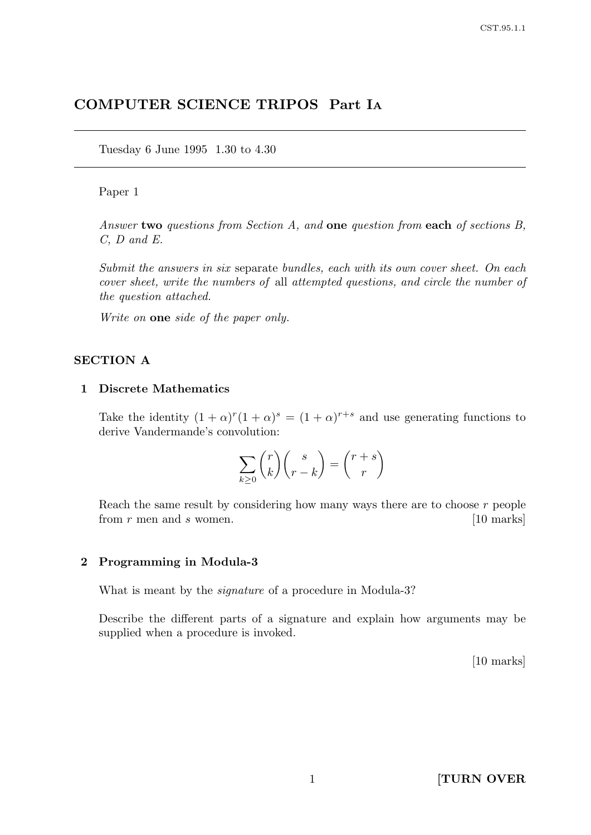# COMPUTER SCIENCE TRIPOS Part I<sup>A</sup>

Tuesday 6 June 1995 1.30 to 4.30

### Paper 1

Answer two questions from Section A, and one question from each of sections B, C, D and E.

Submit the answers in six separate bundles, each with its own cover sheet. On each cover sheet, write the numbers of all attempted questions, and circle the number of the question attached.

Write on **one** side of the paper only.

#### SECTION A

#### 1 Discrete Mathematics

Take the identity  $(1 + \alpha)^r (1 + \alpha)^s = (1 + \alpha)^{r+s}$  and use generating functions to derive Vandermande's convolution:

$$
\sum_{k\geq 0} {r \choose k} {s \choose r-k} = {r+s \choose r}
$$

Reach the same result by considering how many ways there are to choose  $r$  people from  $r$  men and  $s$  women. [10 marks]

### 2 Programming in Modula-3

What is meant by the signature of a procedure in Modula-3?

Describe the different parts of a signature and explain how arguments may be supplied when a procedure is invoked.

[10 marks]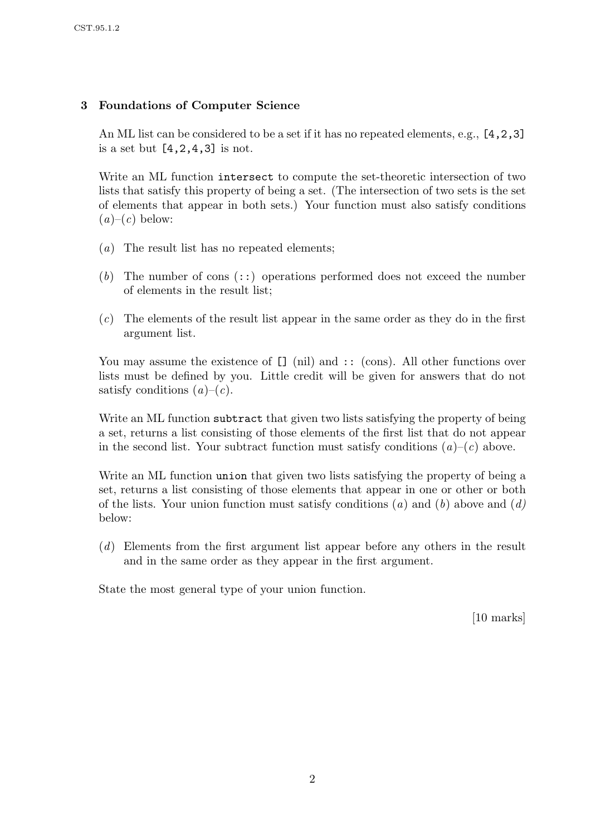# 3 Foundations of Computer Science

An ML list can be considered to be a set if it has no repeated elements, e.g., [4,2,3] is a set but [4,2,4,3] is not.

Write an ML function intersect to compute the set-theoretic intersection of two lists that satisfy this property of being a set. (The intersection of two sets is the set of elements that appear in both sets.) Your function must also satisfy conditions  $(a)$ – $(c)$  below:

- (a) The result list has no repeated elements;
- (b) The number of cons  $(::)$  operations performed does not exceed the number of elements in the result list;
- $(c)$  The elements of the result list appear in the same order as they do in the first argument list.

You may assume the existence of  $\Box$  (nil) and :: (cons). All other functions over lists must be defined by you. Little credit will be given for answers that do not satisfy conditions  $(a)-(c)$ .

Write an ML function subtract that given two lists satisfying the property of being a set, returns a list consisting of those elements of the first list that do not appear in the second list. Your subtract function must satisfy conditions  $(a)-(c)$  above.

Write an ML function union that given two lists satisfying the property of being a set, returns a list consisting of those elements that appear in one or other or both of the lists. Your union function must satisfy conditions (a) and (b) above and (d) below:

(d) Elements from the first argument list appear before any others in the result and in the same order as they appear in the first argument.

State the most general type of your union function.

[10 marks]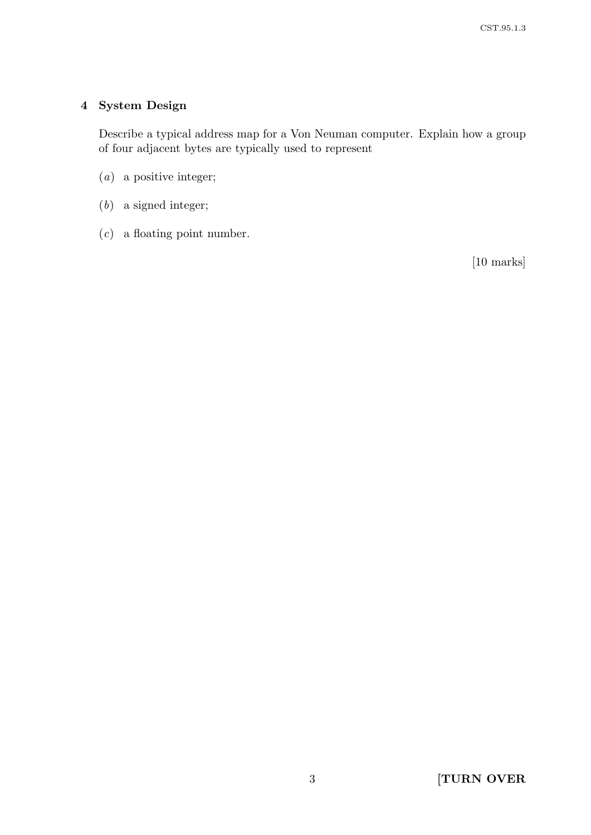# 4 System Design

Describe a typical address map for a Von Neuman computer. Explain how a group of four adjacent bytes are typically used to represent

- (a) a positive integer;
- (b) a signed integer;
- $(c)$  a floating point number.

[10 marks]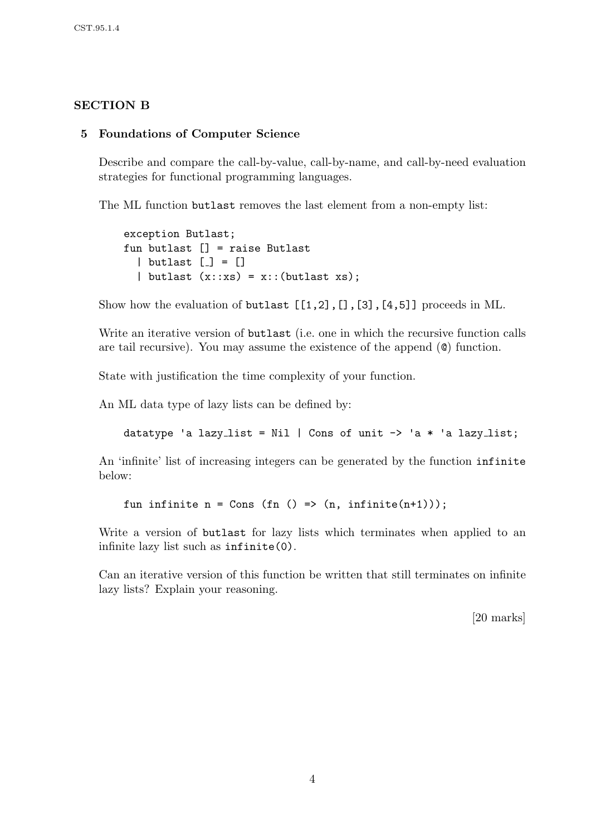# SECTION B

### 5 Foundations of Computer Science

Describe and compare the call-by-value, call-by-name, and call-by-need evaluation strategies for functional programming languages.

The ML function butlast removes the last element from a non-empty list:

```
exception Butlast;
fun butlast [] = raise Butlast
  \vert butlast \vert = \vert| butlast (x::xs) = x::(butlast xs);
```
Show how the evaluation of butlast [[1,2],[],[3],[4,5]] proceeds in ML.

Write an iterative version of butlast (i.e. one in which the recursive function calls are tail recursive). You may assume the existence of the append (@) function.

State with justification the time complexity of your function.

An ML data type of lazy lists can be defined by:

```
datatype 'a lazy_list = Nil | Cons of unit \rightarrow 'a * 'a lazy_list;
```
An 'infinite' list of increasing integers can be generated by the function infinite below:

fun infinite  $n = Cons (fn () => (n, infinite(n+1)));$ 

Write a version of butlast for lazy lists which terminates when applied to an infinite lazy list such as infinite(0).

Can an iterative version of this function be written that still terminates on infinite lazy lists? Explain your reasoning.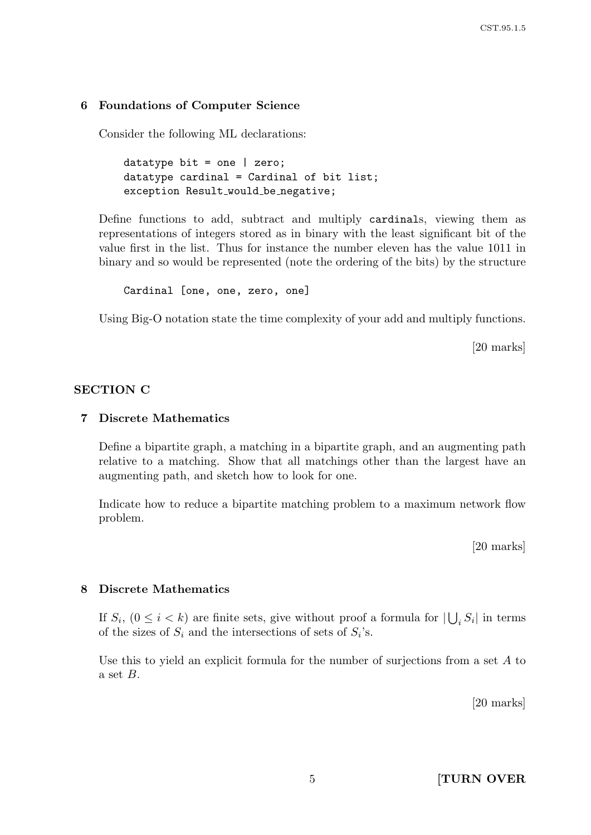#### 6 Foundations of Computer Science

Consider the following ML declarations:

```
datatype bit = one | zero;
datatype cardinal = Cardinal of bit list;
exception Result_would_be_negative;
```
Define functions to add, subtract and multiply cardinals, viewing them as representations of integers stored as in binary with the least significant bit of the value first in the list. Thus for instance the number eleven has the value 1011 in binary and so would be represented (note the ordering of the bits) by the structure

```
Cardinal [one, one, zero, one]
```
Using Big-O notation state the time complexity of your add and multiply functions.

[20 marks]

### SECTION C

#### 7 Discrete Mathematics

Define a bipartite graph, a matching in a bipartite graph, and an augmenting path relative to a matching. Show that all matchings other than the largest have an augmenting path, and sketch how to look for one.

Indicate how to reduce a bipartite matching problem to a maximum network flow problem.

[20 marks]

#### 8 Discrete Mathematics

If  $S_i$ ,  $(0 \le i \le k)$  are finite sets, give without proof a formula for  $\left| \bigcup_i S_i \right|$  in terms of the sizes of  $S_i$  and the intersections of sets of  $S_i$ 's.

Use this to yield an explicit formula for the number of surjections from a set A to a set  $B$ .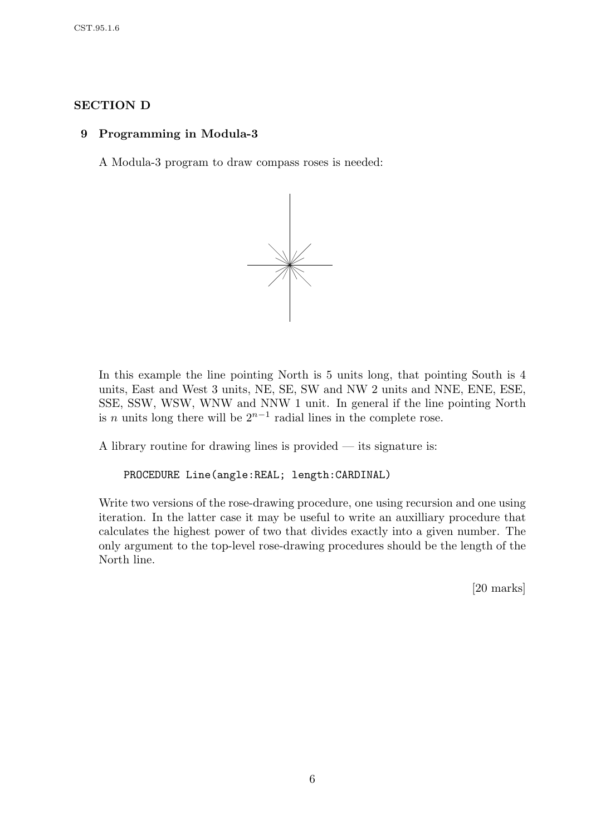# SECTION D

### 9 Programming in Modula-3

A Modula-3 program to draw compass roses is needed:



In this example the line pointing North is 5 units long, that pointing South is 4 units, East and West 3 units, NE, SE, SW and NW 2 units and NNE, ENE, ESE, SSE, SSW, WSW, WNW and NNW 1 unit. In general if the line pointing North is *n* units long there will be  $2^{n-1}$  radial lines in the complete rose.

A library routine for drawing lines is provided — its signature is:

```
PROCEDURE Line(angle:REAL; length:CARDINAL)
```
Write two versions of the rose-drawing procedure, one using recursion and one using iteration. In the latter case it may be useful to write an auxilliary procedure that calculates the highest power of two that divides exactly into a given number. The only argument to the top-level rose-drawing procedures should be the length of the North line.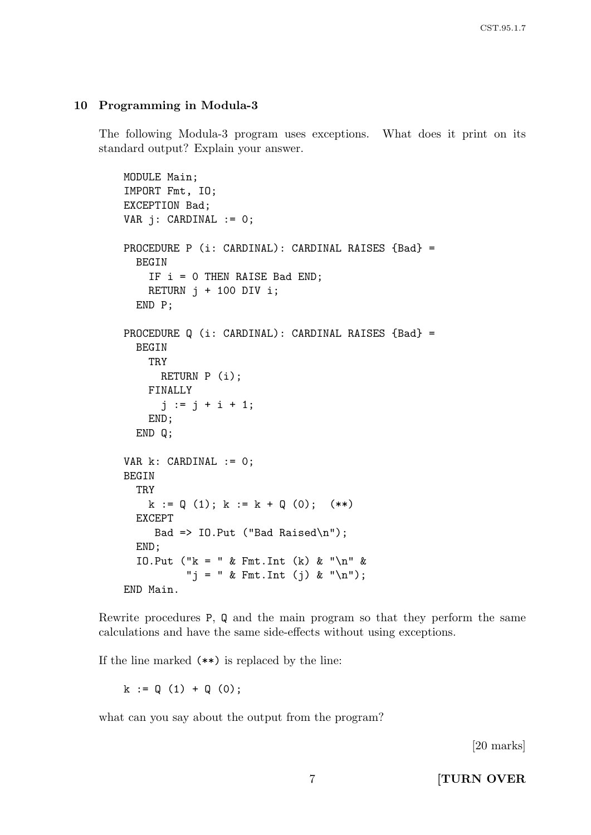### 10 Programming in Modula-3

The following Modula-3 program uses exceptions. What does it print on its standard output? Explain your answer.

```
MODULE Main;
IMPORT Fmt, IO;
EXCEPTION Bad;
VAR i: CARDINAL := 0;
PROCEDURE P (i: CARDINAL): CARDINAL RAISES {Bad} =
  BEGIN
    IF i = 0 THEN RAISE Bad END;
    RETURN j + 100 DIV i;
  END P;
PROCEDURE Q (i: CARDINAL): CARDINAL RAISES {Bad} =
  BEGIN
    TRY
      RETURN P (i);
    FINALLY
      j := j + i + 1;END;
  END Q;
VAR k: CARDINAL := 0;
BEGIN
  TRY
    k := Q(1); k := k + Q(0); (**)
  EXCEPT
     Bad => IO.Put ("Bad Raised\n");
  END;
  IO.Put ("k = " & Fmt.Int (k) & "\n\ln" &
          "j = " & Fmt.int (j) & "\\n");END Main.
```
Rewrite procedures P, Q and the main program so that they perform the same calculations and have the same side-effects without using exceptions.

If the line marked (\*\*) is replaced by the line:

 $k := Q(1) + Q(0);$ 

what can you say about the output from the program?